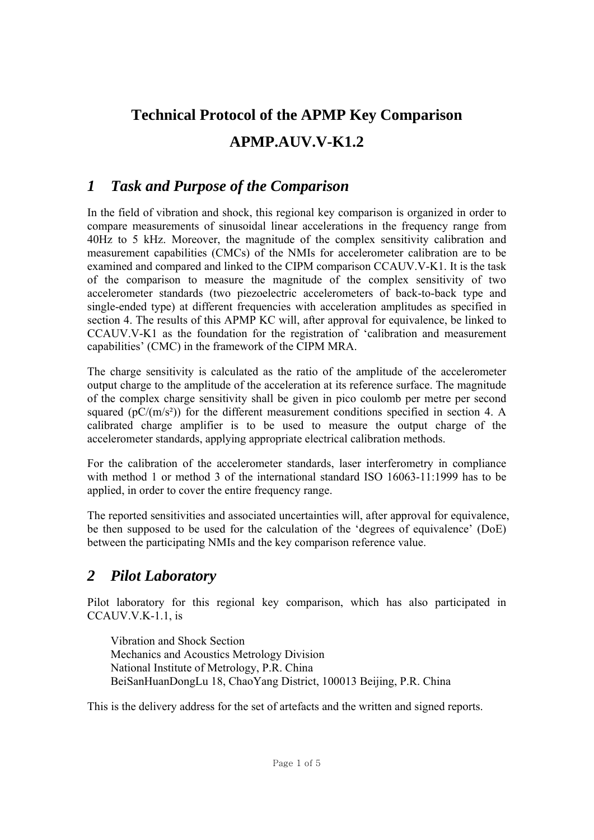# **Technical Protocol of the APMP Key Comparison APMP.AUV.V-K1.2**

# *1 Task and Purpose of the Comparison*

In the field of vibration and shock, this regional key comparison is organized in order to compare measurements of sinusoidal linear accelerations in the frequency range from 40Hz to 5 kHz. Moreover, the magnitude of the complex sensitivity calibration and measurement capabilities (CMCs) of the NMIs for accelerometer calibration are to be examined and compared and linked to the CIPM comparison CCAUV.V-K1. It is the task of the comparison to measure the magnitude of the complex sensitivity of two accelerometer standards (two piezoelectric accelerometers of back-to-back type and single-ended type) at different frequencies with acceleration amplitudes as specified in section 4. The results of this APMP KC will, after approval for equivalence, be linked to CCAUV.V-K1 as the foundation for the registration of 'calibration and measurement capabilities' (CMC) in the framework of the CIPM MRA.

The charge sensitivity is calculated as the ratio of the amplitude of the accelerometer output charge to the amplitude of the acceleration at its reference surface. The magnitude of the complex charge sensitivity shall be given in pico coulomb per metre per second squared ( $pC/(m/s^2)$ ) for the different measurement conditions specified in section 4. A calibrated charge amplifier is to be used to measure the output charge of the accelerometer standards, applying appropriate electrical calibration methods.

For the calibration of the accelerometer standards, laser interferometry in compliance with method 1 or method 3 of the international standard ISO 16063-11:1999 has to be applied, in order to cover the entire frequency range.

The reported sensitivities and associated uncertainties will, after approval for equivalence, be then supposed to be used for the calculation of the 'degrees of equivalence' (DoE) between the participating NMIs and the key comparison reference value.

# *2 Pilot Laboratory*

Pilot laboratory for this regional key comparison, which has also participated in CCAUV.V.K-1.1, is

Vibration and Shock Section Mechanics and Acoustics Metrology Division National Institute of Metrology, P.R. China BeiSanHuanDongLu 18, ChaoYang District, 100013 Beijing, P.R. China

This is the delivery address for the set of artefacts and the written and signed reports.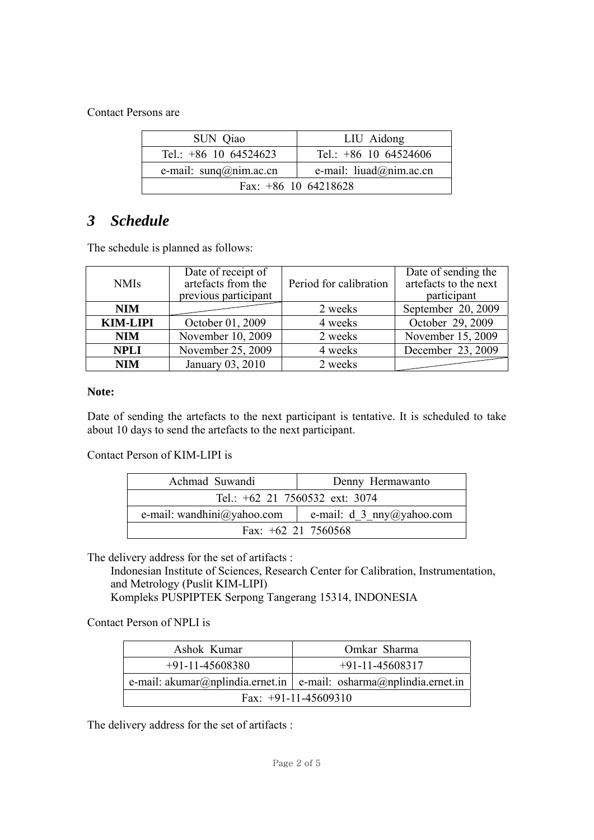Contact Persons are

| SUN Qiao                          | LIU Aidong                        |  |
|-----------------------------------|-----------------------------------|--|
| Tel.: $+86$ 10 64524623           | Tel.: $+86$ 10 64524606           |  |
| e-mail: $\text{sum}(a)$ nim.ac.cn | e-mail: $liuad(\omega)$ nim.ac.cn |  |
| Fax: $+86$ 10 64218628            |                                   |  |

## *3 Schedule*

The schedule is planned as follows:

| <b>NMIs</b>     | Date of receipt of<br>artefacts from the<br>previous participant | Period for calibration | Date of sending the<br>artefacts to the next<br>participant |
|-----------------|------------------------------------------------------------------|------------------------|-------------------------------------------------------------|
| <b>NIM</b>      |                                                                  | 2 weeks                | September 20, 2009                                          |
| <b>KIM-LIPI</b> | October 01, 2009                                                 | 4 weeks                | October 29, 2009                                            |
| <b>NIM</b>      | November 10, 2009                                                | 2 weeks                | November 15, 2009                                           |
| <b>NPLI</b>     | November 25, 2009                                                | 4 weeks                | December 23, 2009                                           |
| <b>NIM</b>      | January 03, 2010                                                 | 2 weeks                |                                                             |

#### **Note:**

Date of sending the artefacts to the next participant is tentative. It is scheduled to take about 10 days to send the artefacts to the next participant.

#### Contact Person of KIM-LIPI is

| Achmad Suwandi                 | Denny Hermawanto             |  |
|--------------------------------|------------------------------|--|
| Tel.: +62 21 7560532 ext: 3074 |                              |  |
| e-mail: wandhini@yahoo.com     | e-mail: $d_3$ _nny@yahoo.com |  |
| Fax: $+62$ 21 7560568          |                              |  |

The delivery address for the set of artifacts :

Indonesian Institute of Sciences, Research Center for Calibration, Instrumentation, and Metrology (Puslit KIM-LIPI)

Kompleks PUSPIPTEK Serpong Tangerang 15314, INDONESIA

#### Contact Person of NPLI is

| Ashok Kumar            | Omkar Sharma                                                         |  |  |
|------------------------|----------------------------------------------------------------------|--|--|
| $+91-11-45608380$      | $+91-11-45608317$                                                    |  |  |
|                        | e-mail: akumar@nplindia.ernet.in   e-mail: osharma@nplindia.ernet.in |  |  |
| Fax: $+91-11-45609310$ |                                                                      |  |  |

The delivery address for the set of artifacts :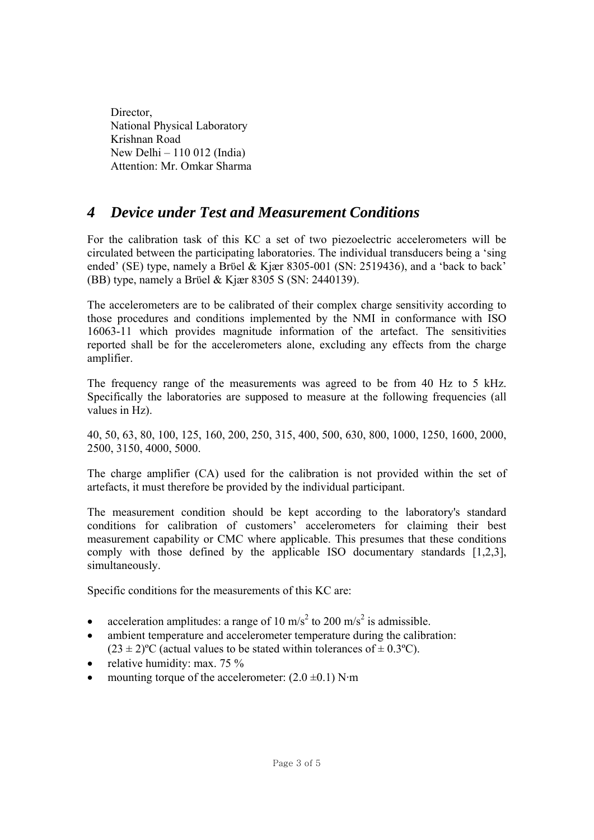Director, National Physical Laboratory Krishnan Road New Delhi – 110 012 (India) Attention: Mr. Omkar Sharma

### *4 Device under Test and Measurement Conditions*

For the calibration task of this KC a set of two piezoelectric accelerometers will be circulated between the participating laboratories. The individual transducers being a 'sing ended' (SE) type, namely a Brϋel & Kjær 8305-001 (SN: 2519436), and a 'back to back' (BB) type, namely a Brϋel & Kjær 8305 S (SN: 2440139).

The accelerometers are to be calibrated of their complex charge sensitivity according to those procedures and conditions implemented by the NMI in conformance with ISO 16063-11 which provides magnitude information of the artefact. The sensitivities reported shall be for the accelerometers alone, excluding any effects from the charge amplifier.

The frequency range of the measurements was agreed to be from 40 Hz to 5 kHz. Specifically the laboratories are supposed to measure at the following frequencies (all values in Hz).

40, 50, 63, 80, 100, 125, 160, 200, 250, 315, 400, 500, 630, 800, 1000, 1250, 1600, 2000, 2500, 3150, 4000, 5000.

The charge amplifier (CA) used for the calibration is not provided within the set of artefacts, it must therefore be provided by the individual participant.

The measurement condition should be kept according to the laboratory's standard conditions for calibration of customers' accelerometers for claiming their best measurement capability or CMC where applicable. This presumes that these conditions comply with those defined by the applicable ISO documentary standards [1,2,3], simultaneously.

Specific conditions for the measurements of this KC are:

- acceleration amplitudes: a range of 10 m/s<sup>2</sup> to 200 m/s<sup>2</sup> is admissible.
- ambient temperature and accelerometer temperature during the calibration:  $(23 \pm 2)$ <sup>o</sup>C (actual values to be stated within tolerances of  $\pm$  0.3<sup>o</sup>C).
- relative humidity: max. 75 %
- mounting torque of the accelerometer:  $(2.0 \pm 0.1)$  N·m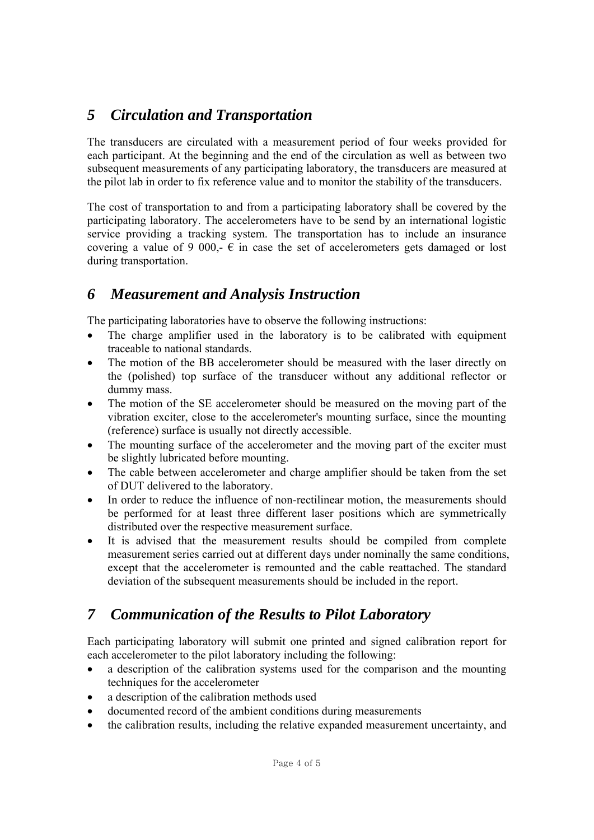# *5 Circulation and Transportation*

The transducers are circulated with a measurement period of four weeks provided for each participant. At the beginning and the end of the circulation as well as between two subsequent measurements of any participating laboratory, the transducers are measured at the pilot lab in order to fix reference value and to monitor the stability of the transducers.

The cost of transportation to and from a participating laboratory shall be covered by the participating laboratory. The accelerometers have to be send by an international logistic service providing a tracking system. The transportation has to include an insurance covering a value of 9 000,-  $\epsilon$  in case the set of accelerometers gets damaged or lost during transportation.

### *6 Measurement and Analysis Instruction*

The participating laboratories have to observe the following instructions:

- The charge amplifier used in the laboratory is to be calibrated with equipment traceable to national standards.
- The motion of the BB accelerometer should be measured with the laser directly on the (polished) top surface of the transducer without any additional reflector or dummy mass.
- The motion of the SE accelerometer should be measured on the moving part of the vibration exciter, close to the accelerometer's mounting surface, since the mounting (reference) surface is usually not directly accessible.
- The mounting surface of the accelerometer and the moving part of the exciter must be slightly lubricated before mounting.
- The cable between accelerometer and charge amplifier should be taken from the set of DUT delivered to the laboratory.
- In order to reduce the influence of non-rectilinear motion, the measurements should be performed for at least three different laser positions which are symmetrically distributed over the respective measurement surface.
- It is advised that the measurement results should be compiled from complete measurement series carried out at different days under nominally the same conditions, except that the accelerometer is remounted and the cable reattached. The standard deviation of the subsequent measurements should be included in the report.

# *7 Communication of the Results to Pilot Laboratory*

Each participating laboratory will submit one printed and signed calibration report for each accelerometer to the pilot laboratory including the following:

- a description of the calibration systems used for the comparison and the mounting techniques for the accelerometer
- a description of the calibration methods used
- documented record of the ambient conditions during measurements
- the calibration results, including the relative expanded measurement uncertainty, and